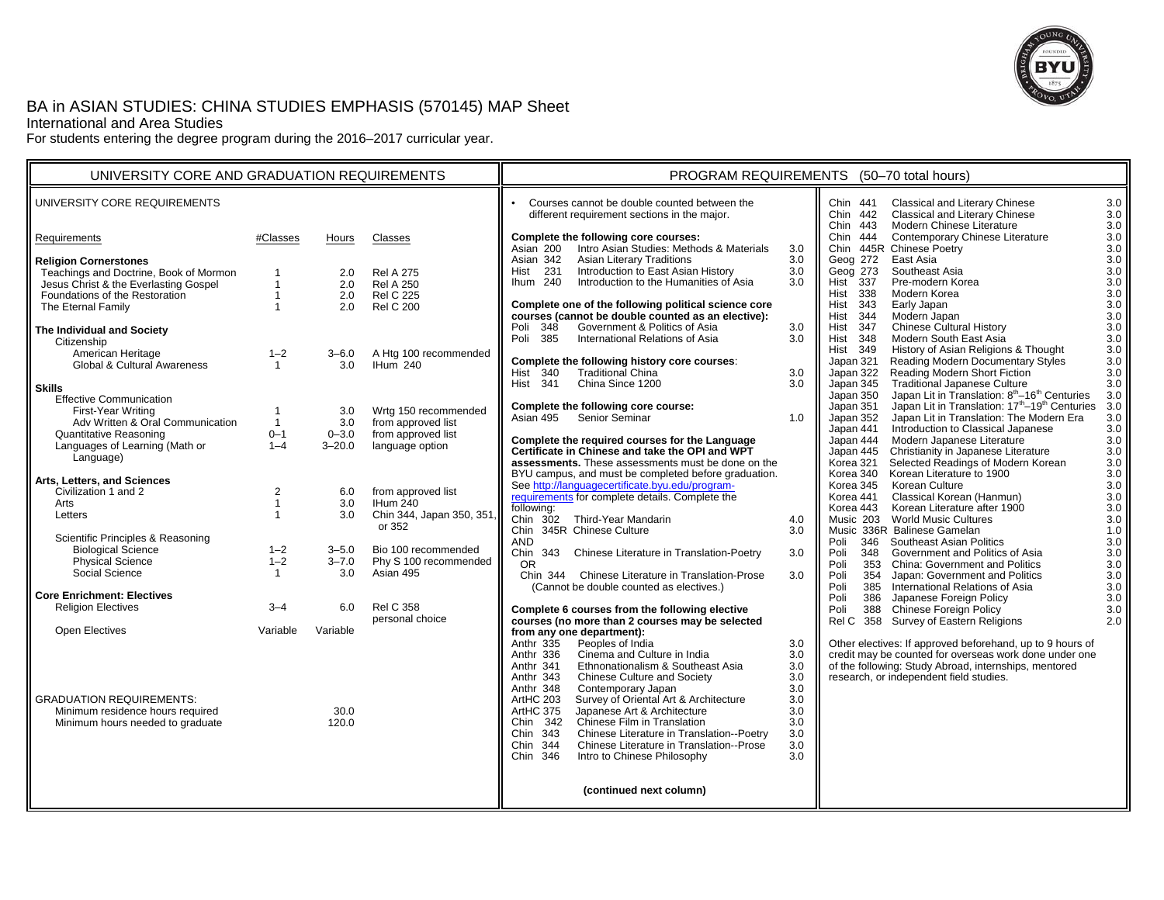

# BA in ASIAN STUDIES: CHINA STUDIES EMPHASIS (570145) MAP Sheet

International and Area Studies

For students entering the degree program during the 2016–2017 curricular year.

| UNIVERSITY CORE AND GRADUATION REQUIREMENTS                                                                                                                                                                                                                                                                                                                                                                                                                                                                                                                                                                                                                                                                                                                                                                                                                              |                                                                                                                                                                 |                                                                                                                                                                                 |                                                                                                                                                                                                                                                                                                                                                                                       | PROGRAM REQUIREMENTS (50-70 total hours)                                                                                                                                                                                                                                                                                                                                                                                                                                                                                                                                                                                                                                                                                                                                                                                                                                                                                                                                                                                                                                                                                                                                                                                                                                                                                                                                                                                                                                                                                                                                                                                                                                                                                                                                                                                                                                                                                                                                                                                                                                                                                                                                                                                                                                                                                                                                                                                                                                                                                                                                                                                                                                                                                                                                                                                                                                                                                                                                                                                                                                                                                                                                                                                                                                                                                                                                                                                                                                                                                                                                                                                                                                                                                                                                                                                                                                                                                                                                           |  |  |
|--------------------------------------------------------------------------------------------------------------------------------------------------------------------------------------------------------------------------------------------------------------------------------------------------------------------------------------------------------------------------------------------------------------------------------------------------------------------------------------------------------------------------------------------------------------------------------------------------------------------------------------------------------------------------------------------------------------------------------------------------------------------------------------------------------------------------------------------------------------------------|-----------------------------------------------------------------------------------------------------------------------------------------------------------------|---------------------------------------------------------------------------------------------------------------------------------------------------------------------------------|---------------------------------------------------------------------------------------------------------------------------------------------------------------------------------------------------------------------------------------------------------------------------------------------------------------------------------------------------------------------------------------|------------------------------------------------------------------------------------------------------------------------------------------------------------------------------------------------------------------------------------------------------------------------------------------------------------------------------------------------------------------------------------------------------------------------------------------------------------------------------------------------------------------------------------------------------------------------------------------------------------------------------------------------------------------------------------------------------------------------------------------------------------------------------------------------------------------------------------------------------------------------------------------------------------------------------------------------------------------------------------------------------------------------------------------------------------------------------------------------------------------------------------------------------------------------------------------------------------------------------------------------------------------------------------------------------------------------------------------------------------------------------------------------------------------------------------------------------------------------------------------------------------------------------------------------------------------------------------------------------------------------------------------------------------------------------------------------------------------------------------------------------------------------------------------------------------------------------------------------------------------------------------------------------------------------------------------------------------------------------------------------------------------------------------------------------------------------------------------------------------------------------------------------------------------------------------------------------------------------------------------------------------------------------------------------------------------------------------------------------------------------------------------------------------------------------------------------------------------------------------------------------------------------------------------------------------------------------------------------------------------------------------------------------------------------------------------------------------------------------------------------------------------------------------------------------------------------------------------------------------------------------------------------------------------------------------------------------------------------------------------------------------------------------------------------------------------------------------------------------------------------------------------------------------------------------------------------------------------------------------------------------------------------------------------------------------------------------------------------------------------------------------------------------------------------------------------------------------------------------------------------------------------------------------------------------------------------------------------------------------------------------------------------------------------------------------------------------------------------------------------------------------------------------------------------------------------------------------------------------------------------------------------------------------------------------------------------------------------------------------|--|--|
| UNIVERSITY CORE REQUIREMENTS                                                                                                                                                                                                                                                                                                                                                                                                                                                                                                                                                                                                                                                                                                                                                                                                                                             |                                                                                                                                                                 |                                                                                                                                                                                 |                                                                                                                                                                                                                                                                                                                                                                                       | $\bullet$<br>Courses cannot be double counted between the<br><b>Classical and Literary Chinese</b><br>3.0<br>Chin 441<br>Classical and Literary Chinese<br>Chin 442<br>3.0<br>different requirement sections in the major.<br>Modern Chinese Literature<br>Chin 443<br>3.0                                                                                                                                                                                                                                                                                                                                                                                                                                                                                                                                                                                                                                                                                                                                                                                                                                                                                                                                                                                                                                                                                                                                                                                                                                                                                                                                                                                                                                                                                                                                                                                                                                                                                                                                                                                                                                                                                                                                                                                                                                                                                                                                                                                                                                                                                                                                                                                                                                                                                                                                                                                                                                                                                                                                                                                                                                                                                                                                                                                                                                                                                                                                                                                                                                                                                                                                                                                                                                                                                                                                                                                                                                                                                                         |  |  |
| Requirements                                                                                                                                                                                                                                                                                                                                                                                                                                                                                                                                                                                                                                                                                                                                                                                                                                                             | #Classes                                                                                                                                                        | Hours                                                                                                                                                                           | Classes                                                                                                                                                                                                                                                                                                                                                                               | Contemporary Chinese Literature<br>3.0<br>Complete the following core courses:<br>Chin<br>444                                                                                                                                                                                                                                                                                                                                                                                                                                                                                                                                                                                                                                                                                                                                                                                                                                                                                                                                                                                                                                                                                                                                                                                                                                                                                                                                                                                                                                                                                                                                                                                                                                                                                                                                                                                                                                                                                                                                                                                                                                                                                                                                                                                                                                                                                                                                                                                                                                                                                                                                                                                                                                                                                                                                                                                                                                                                                                                                                                                                                                                                                                                                                                                                                                                                                                                                                                                                                                                                                                                                                                                                                                                                                                                                                                                                                                                                                      |  |  |
| <b>Religion Cornerstones</b><br>Teachings and Doctrine, Book of Mormon<br>Jesus Christ & the Everlasting Gospel<br>Foundations of the Restoration<br>The Eternal Family<br>The Individual and Society<br>Citizenship<br>American Heritage<br><b>Global &amp; Cultural Awareness</b><br><b>Skills</b><br><b>Effective Communication</b><br>First-Year Writing<br>Adv Written & Oral Communication<br><b>Quantitative Reasoning</b><br>Languages of Learning (Math or<br>Language)<br>Arts, Letters, and Sciences<br>Civilization 1 and 2<br>Arts<br>Letters<br>Scientific Principles & Reasoning<br><b>Biological Science</b><br>Physical Science<br>Social Science<br><b>Core Enrichment: Electives</b><br><b>Religion Electives</b><br><b>Open Electives</b><br><b>GRADUATION REQUIREMENTS:</b><br>Minimum residence hours required<br>Minimum hours needed to graduate | $\mathbf{1}$<br>$\mathbf{1}$<br>$1 - 2$<br>$\mathbf{1}$<br>$\mathbf{1}$<br>$0 - 1$<br>$1 - 4$<br>2<br>$1 - 2$<br>$1 - 2$<br>$\mathbf{1}$<br>$3 - 4$<br>Variable | 2.0<br>2.0<br>2.0<br>2.0<br>$3 - 6.0$<br>3.0<br>3.0<br>3.0<br>$0 - 3.0$<br>$3 - 20.0$<br>6.0<br>3.0<br>3.0<br>$3 - 5.0$<br>$3 - 7.0$<br>3.0<br>6.0<br>Variable<br>30.0<br>120.0 | <b>Rel A 275</b><br><b>Rel A 250</b><br><b>Rel C 225</b><br><b>Rel C 200</b><br>A Htg 100 recommended<br>IHum 240<br>Wrtg 150 recommended<br>from approved list<br>from approved list<br>language option<br>from approved list<br>IHum 240<br>Chin 344, Japan 350, 351,<br>or 352<br>Bio 100 recommended<br>Phy S 100 recommended<br>Asian 495<br><b>Rel C 358</b><br>personal choice | Intro Asian Studies: Methods & Materials<br>3.0<br>Asian 200<br>3.0<br>Chin 445R Chinese Poetry<br><b>Asian Literary Traditions</b><br>3.0<br>Geog 272<br>East Asia<br>3.0<br>Asian 342<br>Hist<br>231<br>Introduction to East Asian History<br>3.0<br>Southeast Asia<br>3.0<br>Geog 273<br>Introduction to the Humanities of Asia<br>337<br>Pre-modern Korea<br>3.0<br>Ihum 240<br>3.0<br><b>Hist</b><br>$3.0\,$<br><b>Hist 338</b><br>Modern Korea<br>Complete one of the following political science core<br>Hist 343<br>3.0<br>Early Japan<br>courses (cannot be double counted as an elective):<br>Modern Japan<br>3.0<br>Hist<br>344<br>Government & Politics of Asia<br>348<br>3.0<br><b>Chinese Cultural History</b><br>3.0<br>Poli<br>Hist<br>347<br>International Relations of Asia<br>Modern South East Asia<br>Poli 385<br>3.0<br><b>Hist 348</b><br>3.0<br>$3.0\,$<br>349<br>History of Asian Religions & Thought<br>Hist<br>3.0<br>Reading Modern Documentary Styles<br>Complete the following history core courses:<br>Japan 321<br><b>Traditional China</b><br>Reading Modern Short Fiction<br>Hist 340<br>3.0<br>Japan 322<br>3.0<br>China Since 1200<br>Traditional Japanese Culture<br><b>Hist 341</b><br>3.0<br>3.0<br>Japan 345<br>Japan Lit in Translation: 8 <sup>th</sup> -16 <sup>th</sup> Centuries<br>3.0<br>Japan 350<br>Japan Lit in Translation: 17 <sup>th</sup> -19 <sup>th</sup> Centuries<br>3.0<br>Complete the following core course:<br>Japan 351<br>3.0<br>Senior Seminar<br>Japan 352<br>Japan Lit in Translation: The Modern Era<br>Asian 495<br>1.0<br>Introduction to Classical Japanese<br>3.0<br>Japan 441<br>Complete the required courses for the Language<br>Modern Japanese Literature<br>3.0<br>Japan 444<br>Certificate in Chinese and take the OPI and WPT<br>Christianity in Japanese Literature<br>3.0<br>Japan 445<br>Selected Readings of Modern Korean<br>$3.0\,$<br>assessments. These assessments must be done on the<br>Korea 321<br>Korean Literature to 1900<br>3.0<br>BYU campus, and must be completed before graduation.<br>Korea 340<br>See http://languagecertificate.byu.edu/program-<br>3.0<br>Korea 345<br>Korean Culture<br>requirements for complete details. Complete the<br>Classical Korean (Hanmun)<br>3.0<br>Korea 441<br>following:<br>Korean Literature after 1900<br>3.0<br>Korea 443<br>302 Third-Year Mandarin<br>4.0<br><b>World Music Cultures</b><br>3.0<br>Chin<br>Music 203<br>Chin 345R Chinese Culture<br>Music 336R Balinese Gamelan<br>3.0<br>1.0<br><b>AND</b><br>3.0<br>Poli<br>346<br>Southeast Asian Politics<br>Chin<br>3.0<br>Government and Politics of Asia<br>3.0<br>343 Chinese Literature in Translation-Poetry<br>Poli<br>348<br><b>OR</b><br>3.0<br>Poli<br>353<br><b>China: Government and Politics</b><br>Chin 344 Chinese Literature in Translation-Prose<br>$3.0\,$<br>3.0<br>354<br>Japan: Government and Politics<br>Poli<br>3.0<br>International Relations of Asia<br>(Cannot be double counted as electives.)<br>Poli<br>385<br>Japanese Foreign Policy<br>Poli<br>386<br>3.0<br>Chinese Foreign Policy<br>Complete 6 courses from the following elective<br>Poli<br>388<br>3.0<br>courses (no more than 2 courses may be selected<br>358<br>Survey of Eastern Religions<br>2.0<br>Rel C<br>from any one department):<br>Anthr 335<br>Peoples of India<br>3.0<br>Other electives: If approved beforehand, up to 9 hours of<br>credit may be counted for overseas work done under one<br>Anthr 336<br>Cinema and Culture in India<br>3.0<br>of the following: Study Abroad, internships, mentored<br>Ethnonationalism & Southeast Asia<br>Anthr 341<br>3.0<br>Chinese Culture and Society<br>3.0<br>research, or independent field studies.<br>Anthr 343<br>Anthr 348<br>Contemporary Japan<br>3.0<br>ArtHC 203<br>Survey of Oriental Art & Architecture<br>3.0<br>Japanese Art & Architecture<br>ArtHC 375<br>3.0<br>Chin 342<br>Chinese Film in Translation<br>3.0 |  |  |
|                                                                                                                                                                                                                                                                                                                                                                                                                                                                                                                                                                                                                                                                                                                                                                                                                                                                          |                                                                                                                                                                 |                                                                                                                                                                                 |                                                                                                                                                                                                                                                                                                                                                                                       | Chin<br>Chinese Literature in Translation--Poetry<br>3.0<br>343<br>Chin<br>344<br>Chinese Literature in Translation--Prose<br>3.0<br>Chin 346<br>Intro to Chinese Philosophy<br>3.0                                                                                                                                                                                                                                                                                                                                                                                                                                                                                                                                                                                                                                                                                                                                                                                                                                                                                                                                                                                                                                                                                                                                                                                                                                                                                                                                                                                                                                                                                                                                                                                                                                                                                                                                                                                                                                                                                                                                                                                                                                                                                                                                                                                                                                                                                                                                                                                                                                                                                                                                                                                                                                                                                                                                                                                                                                                                                                                                                                                                                                                                                                                                                                                                                                                                                                                                                                                                                                                                                                                                                                                                                                                                                                                                                                                                |  |  |
|                                                                                                                                                                                                                                                                                                                                                                                                                                                                                                                                                                                                                                                                                                                                                                                                                                                                          |                                                                                                                                                                 |                                                                                                                                                                                 |                                                                                                                                                                                                                                                                                                                                                                                       | (continued next column)                                                                                                                                                                                                                                                                                                                                                                                                                                                                                                                                                                                                                                                                                                                                                                                                                                                                                                                                                                                                                                                                                                                                                                                                                                                                                                                                                                                                                                                                                                                                                                                                                                                                                                                                                                                                                                                                                                                                                                                                                                                                                                                                                                                                                                                                                                                                                                                                                                                                                                                                                                                                                                                                                                                                                                                                                                                                                                                                                                                                                                                                                                                                                                                                                                                                                                                                                                                                                                                                                                                                                                                                                                                                                                                                                                                                                                                                                                                                                            |  |  |